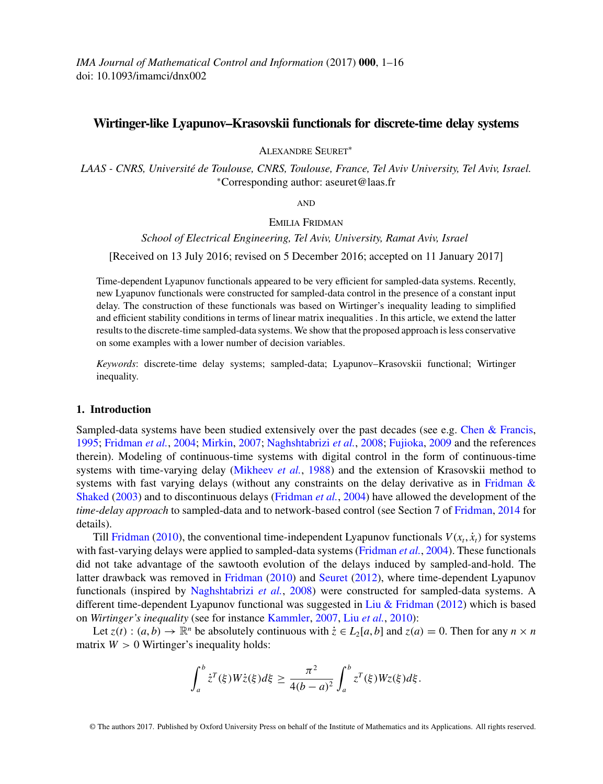*IMA Journal of Mathematical Control and Information* (2017) **000**, 1–16 doi: 10.1093/imamci/dnx002

# **Wirtinger-like Lyapunov–Krasovskii functionals for discrete-time delay systems**

Alexandre Seuret<sup>∗</sup>

*LAAS - CNRS, Universite de Toulouse, CNRS, Toulouse, France, Tel Aviv University, Tel Aviv, Israel. ´* <sup>∗</sup>Corresponding author: aseuret@laas.fr

and

## EMILIA FRIDMAN

*School of Electrical Engineering, Tel Aviv, University, Ramat Aviv, Israel* [Received on 13 July 2016; revised on 5 December 2016; accepted on 11 January 2017]

Time-dependent Lyapunov functionals appeared to be very efficient for sampled-data systems. Recently, new Lyapunov functionals were constructed for sampled-data control in the presence of a constant input delay. The construction of these functionals was based on Wirtinger's inequality leading to simplified and efficient stability conditions in terms of linear matrix inequalities . In this article, we extend the latter results to the discrete-time sampled-data systems. We show that the proposed approach is less conservative on some examples with a lower number of decision variables.

*Keywords*: discrete-time delay systems; sampled-data; Lyapunov–Krasovskii functional; Wirtinger inequality.

## **1. Introduction**

Sampled-data systems have been studied extensively over the past decades (see e.g. [Chen & Francis,](#page-15-0) [1995;](#page-15-0) [Fridman](#page-15-0) *et al.*, [2004](#page-15-0); [Mirkin](#page-15-0), [2007;](#page-15-0) [Naghshtabrizi](#page-15-0) *et al.*, [2008;](#page-15-0) [Fujioka](#page-15-0), [2009](#page-15-0) and the references therein). Modeling of continuous-time systems with digital control in the form of continuous-time systems with time-varying delay [\(Mikheev](#page-15-0) *et al.*, [1988\)](#page-15-0) and the extension of Krasovskii method to system[s with fast varying delays \(without any constraints on the delay derivative as in](#page-15-0) Fridman & Shaked [\(2003\)](#page-15-0) and to discontinuous delays [\(Fridman](#page-15-0) *et al.*, [2004](#page-15-0)) have allowed the development of the *time-delay approach* to sampled-data and to network-based control (see Section 7 of [Fridman,](#page-15-0) [2014](#page-15-0) for details).

Till [Fridman](#page-15-0) [\(2010\)](#page-15-0), the conventional time-independent Lyapunov functionals  $V(x_t, \dot{x}_t)$  for systems with fast-varying delays were applied to sampled-data systems [\(Fridman](#page-15-0) *et al.*, [2004](#page-15-0)). These functionals did not take advantage of the sawtooth evolution of the delays induced by sampled-and-hold. The latter drawback was removed in [Fridman](#page-15-0) [\(2010\)](#page-15-0) and [Seuret](#page-15-0) [\(2012](#page-15-0)), where time-dependent Lyapunov functionals (inspired by [Naghshtabrizi](#page-15-0) *et al.*, [2008](#page-15-0)) were constructed for sampled-data systems. A different time-dependent Lyapunov functional was suggested in [Liu & Fridman](#page-15-0) [\(2012](#page-15-0)) which is based on *Wirtinger's inequality* (see for instance [Kammler](#page-15-0), [2007](#page-15-0), Liu *[et al.](#page-15-0)*, [2010](#page-15-0)):

Let  $z(t)$ :  $(a, b) \to \mathbb{R}^n$  be absolutely continuous with  $\dot{z} \in L_2[a, b]$  and  $z(a) = 0$ . Then for any  $n \times n$ matrix  $W > 0$  Wirtinger's inequality holds:

$$
\int_a^b \dot{z}^T(\xi) W \dot{z}(\xi) d\xi \ge \frac{\pi^2}{4(b-a)^2} \int_a^b z^T(\xi) W z(\xi) d\xi.
$$

© The authors 2017. Published by Oxford University Press on behalf of the Institute of Mathematics and its Applications. All rights reserved.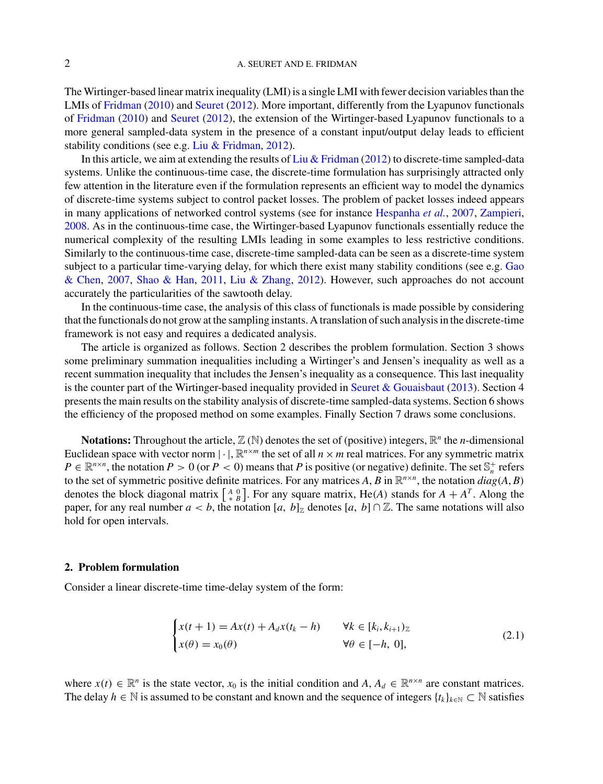<span id="page-1-0"></span>The Wirtinger-based linear matrix inequality (LMI) is a single LMI with fewer decision variables than the LMIs of [Fridman](#page-15-0) [\(2010](#page-15-0)) and [Seuret](#page-15-0) [\(2012](#page-15-0)). More important, differently from the Lyapunov functionals of [Fridman](#page-15-0) [\(2010](#page-15-0)) and [Seuret](#page-15-0) [\(2012](#page-15-0)), the extension of the Wirtinger-based Lyapunov functionals to a more general sampled-data system in the presence of a constant input/output delay leads to efficient stability conditions (see e.g. [Liu & Fridman,](#page-15-0) [2012\)](#page-15-0).

In this article, we aim at extending the results of Liu  $&$  Fridman [\(2012](#page-15-0)) to discrete-time sampled-data systems. Unlike the continuous-time case, the discrete-time formulation has surprisingly attracted only few attention in the literature even if the formulation represents an efficient way to model the dynamics of discrete-time systems subject to control packet losses. The problem of packet losses indeed appears in many applications of networked control systems (see for instance [Hespanha](#page-15-0) *et al.*, [2007](#page-15-0), [Zampieri](#page-15-0), [2008](#page-15-0). As in the continuous-time case, the Wirtinger-based Lyapunov functionals essentially reduce the numerical complexity of the resulting LMIs leading in some examples to less restrictive conditions. Similarly to the continuous-time case, discrete-time sampled-data can be seen as a discrete-time system subject [to a particular time-varying delay, for which there exist many stability conditions \(see e.g.](#page-15-0) Gao & Chen, [2007](#page-15-0), [Shao & Han,](#page-15-0) [2011,](#page-15-0) [Liu & Zhang](#page-15-0), [2012](#page-15-0)). However, such approaches do not account accurately the particularities of the sawtooth delay.

In the continuous-time case, the analysis of this class of functionals is made possible by considering that the functionals do not grow at the sampling instants. A translation of such analysis in the discrete-time framework is not easy and requires a dedicated analysis.

The article is organized as follows. Section 2 describes the problem formulation. Section 3 shows some preliminary summation inequalities including a Wirtinger's and Jensen's inequality as well as a recent summation inequality that includes the Jensen's inequality as a consequence. This last inequality is the counter part of the Wirtinger-based inequality provided in [Seuret & Gouaisbaut](#page-15-0) [\(2013\)](#page-15-0). Section 4 presents the main results on the stability analysis of discrete-time sampled-data systems. Section 6 shows the efficiency of the proposed method on some examples. Finally Section 7 draws some conclusions.

**Notations:** Throughout the article,  $\mathbb{Z}(\mathbb{N})$  denotes the set of (positive) integers,  $\mathbb{R}^n$  the *n*-dimensional Euclidean space with vector norm  $|\cdot|$ ,  $\mathbb{R}^{n \times m}$  the set of all  $n \times m$  real matrices. For any symmetric matrix  $P \in \mathbb{R}^{n \times n}$ , the notation  $P > 0$  (or  $P < 0$ ) means that *P* is positive (or negative) definite. The set  $\mathbb{S}_n^+$  refers to the set of symmetric positive definite matrices. For any matrices *A*, *B* in  $\mathbb{R}^{n \times n}$ , the notation  $diag(A, B)$ denotes the block diagonal matrix  $\begin{bmatrix} A & 0 \\ * & B \end{bmatrix}$ . For any square matrix, He(*A*) stands for  $A + A^T$ . Along the paper, for any real number  $a < b$ , the notation  $[a, b]_{\mathbb{Z}}$  denotes  $[a, b] \cap \mathbb{Z}$ . The same notations will also hold for open intervals.

### **2. Problem formulation**

Consider a linear discrete-time time-delay system of the form:

$$
\begin{cases} x(t+1) = Ax(t) + A_d x(t_k - h) & \forall k \in [k_i, k_{i+1})_{\mathbb{Z}} \\ x(\theta) = x_0(\theta) & \forall \theta \in [-h, 0], \end{cases}
$$
 (2.1)

where  $x(t) \in \mathbb{R}^n$  is the state vector,  $x_0$  is the initial condition and  $A, A_d \in \mathbb{R}^{n \times n}$  are constant matrices. The delay  $h \in \mathbb{N}$  is assumed to be constant and known and the sequence of integers  $\{t_k\}_{k\in\mathbb{N}} \subset \mathbb{N}$  satisfies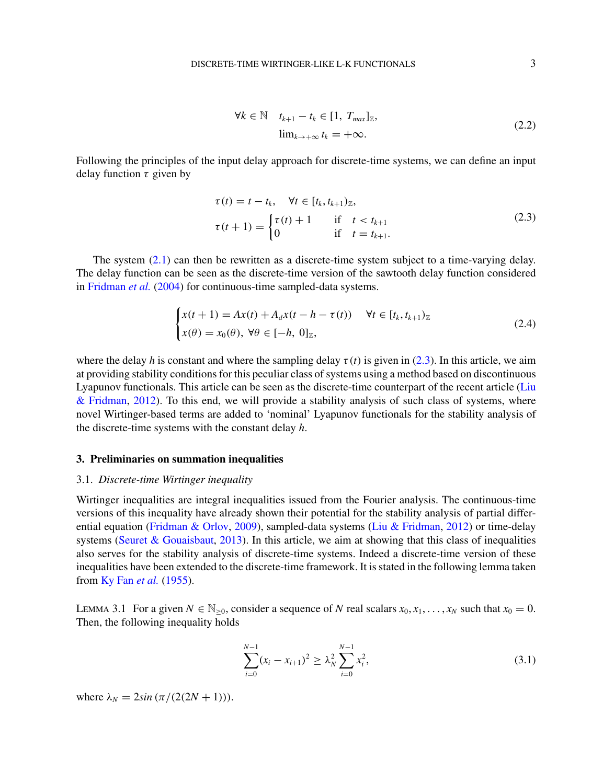$$
\forall k \in \mathbb{N} \quad t_{k+1} - t_k \in [1, T_{max}]_{\mathbb{Z}},
$$
  

$$
\lim_{k \to +\infty} t_k = +\infty.
$$
 (2.2)

<span id="page-2-0"></span>Following the principles of the input delay approach for discrete-time systems, we can define an input delay function  $\tau$  given by

$$
\tau(t) = t - t_k, \quad \forall t \in [t_k, t_{k+1})_{\mathbb{Z}},
$$
\n
$$
\tau(t+1) = \begin{cases}\n\tau(t) + 1 & \text{if } t < t_{k+1} \\
0 & \text{if } t = t_{k+1}.\n\end{cases}
$$
\n(2.3)

The system [\(2.1\)](#page-1-0) can then be rewritten as a discrete-time system subject to a time-varying delay. The delay function can be seen as the discrete-time version of the sawtooth delay function considered in [Fridman](#page-15-0) *et al.* [\(2004\)](#page-15-0) for continuous-time sampled-data systems.

$$
\begin{cases} x(t+1) = Ax(t) + A_d x(t - h - \tau(t)) & \forall t \in [t_k, t_{k+1})_{\mathbb{Z}} \\ x(\theta) = x_0(\theta), \ \forall \theta \in [-h, \ 0]_{\mathbb{Z}}, \end{cases} \tag{2.4}
$$

where the delay *h* is constant and where the sampling delay  $\tau(t)$  is given in (2.3). In this article, we aim at providing stability conditions for this peculiar class of systems using a method based on discontinuous Lyapunov functionals. This article can be seen as the discrete-time counterpart of the recent article (Liu & Fridman, [2012\)](#page-15-0). To this end, we will provide a stability analysis of such class of systems, where novel Wirtinger-based terms are added to 'nominal' Lyapunov functionals for the stability analysis of the discrete-time systems with the constant delay *h*.

### **3. Preliminaries on summation inequalities**

#### 3.1. *Discrete-time Wirtinger inequality*

Wirtinger inequalities are integral inequalities issued from the Fourier analysis. The continuous-time versions of this inequality have already shown their potential for the stability analysis of partial differential equation [\(Fridman & Orlov](#page-15-0), [2009](#page-15-0)), sampled-data systems [\(Liu & Fridman](#page-15-0), [2012](#page-15-0)) or time-delay systems [\(Seuret & Gouaisbaut,](#page-15-0) [2013](#page-15-0)). In this article, we aim at showing that this class of inequalities also serves for the stability analysis of discrete-time systems. Indeed a discrete-time version of these inequalities have been extended to the discrete-time framework. It is stated in the following lemma taken from [Ky Fan](#page-15-0) *et al.* [\(1955\)](#page-15-0).

LEMMA 3.1 For a given  $N \in \mathbb{N}_{>0}$ , consider a sequence of *N* real scalars  $x_0, x_1, \ldots, x_N$  such that  $x_0 = 0$ . Then, the following inequality holds

$$
\sum_{i=0}^{N-1} (x_i - x_{i+1})^2 \ge \lambda_N^2 \sum_{i=0}^{N-1} x_i^2,
$$
\n(3.1)

where  $\lambda_N = 2\sin(\pi/(2(2N + 1))).$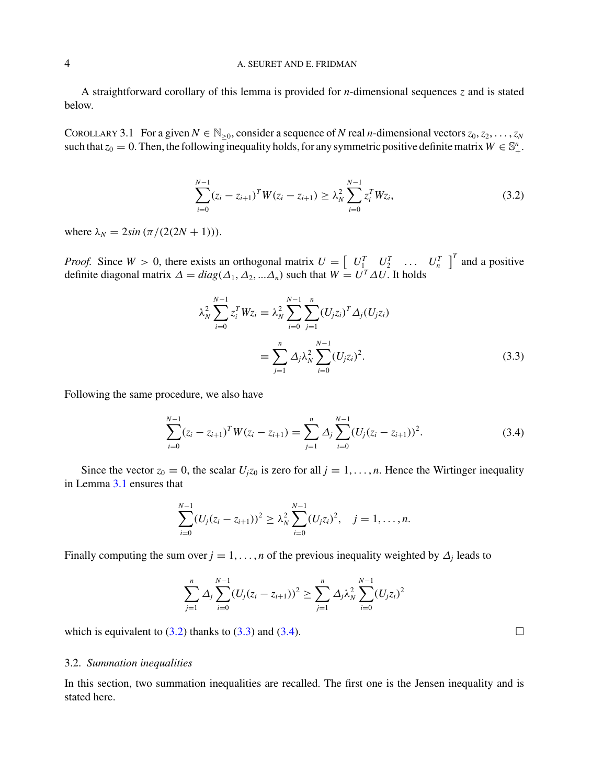<span id="page-3-0"></span>A straightforward corollary of this lemma is provided for *n*-dimensional sequences *z* and is stated below.

COROLLARY 3.1 For a given  $N \in \mathbb{N}_{>0}$ , consider a sequence of *N* real *n*-dimensional vectors  $z_0, z_2, \ldots, z_N$ such that  $z_0 = 0$ . Then, the following inequality holds, for any symmetric positive definite matrix  $W \in \mathbb{S}^n_+$ .

$$
\sum_{i=0}^{N-1} (z_i - z_{i+1})^T W (z_i - z_{i+1}) \geq \lambda_N^2 \sum_{i=0}^{N-1} z_i^T W z_i,
$$
\n(3.2)

where  $\lambda_N = 2\sin(\pi/(2(2N + 1))).$ 

*Proof.* Since  $W > 0$ , there exists an orthogonal matrix  $U = \begin{bmatrix} U_1^T & U_2^T & \dots & U_n^T \end{bmatrix}^T$  and a positive definite diagonal matrix  $\Delta = diag(\Delta_1, \Delta_2, ... \Delta_n)$  such that  $W = U^T \Delta U$ . It holds

$$
\lambda_N^2 \sum_{i=0}^{N-1} z_i^T W z_i = \lambda_N^2 \sum_{i=0}^{N-1} \sum_{j=1}^n (U_j z_i)^T \Delta_j (U_j z_i)
$$
  
= 
$$
\sum_{j=1}^n \Delta_j \lambda_N^2 \sum_{i=0}^{N-1} (U_j z_i)^2.
$$
 (3.3)

Following the same procedure, we also have

$$
\sum_{i=0}^{N-1} (z_i - z_{i+1})^T W (z_i - z_{i+1}) = \sum_{j=1}^n \Delta_j \sum_{i=0}^{N-1} (U_j (z_i - z_{i+1}))^2.
$$
 (3.4)

Since the vector  $z_0 = 0$ , the scalar  $U_i z_0$  is zero for all  $j = 1, \ldots, n$ . Hence the Wirtinger inequality in Lemma [3.1](#page-2-0) ensures that

$$
\sum_{i=0}^{N-1} (U_j(z_i - z_{i+1}))^2 \geq \lambda_N^2 \sum_{i=0}^{N-1} (U_j z_i)^2, \quad j = 1, \ldots, n.
$$

Finally computing the sum over  $j = 1, \ldots, n$  of the previous inequality weighted by  $\Delta_j$  leads to

$$
\sum_{j=1}^n \Delta_j \sum_{i=0}^{N-1} (U_j (z_i - z_{i+1}))^2 \geq \sum_{j=1}^n \Delta_j \lambda_N^2 \sum_{i=0}^{N-1} (U_j z_i)^2
$$

which is equivalent to  $(3.2)$  thanks to  $(3.3)$  and  $(3.4)$ .

## 3.2. *Summation inequalities*

In this section, two summation inequalities are recalled. The first one is the Jensen inequality and is stated here.

 $\Box$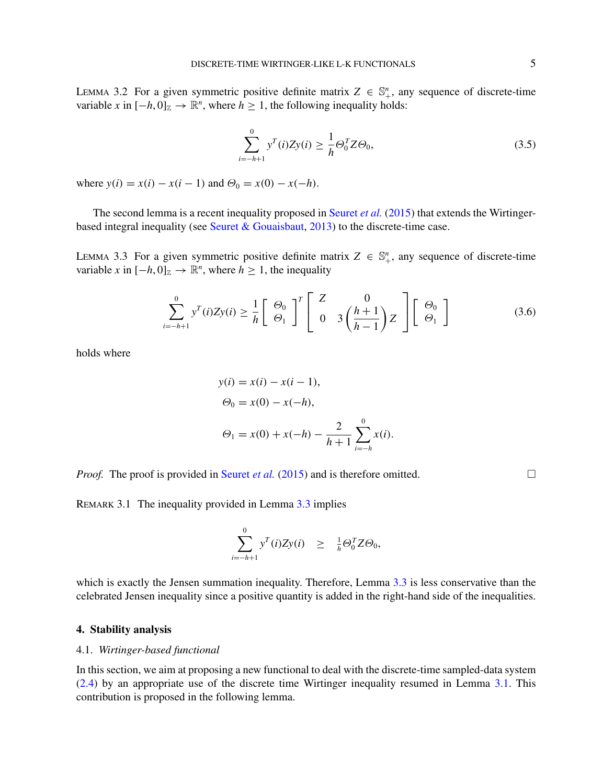<span id="page-4-0"></span>LEMMA 3.2 For a given symmetric positive definite matrix  $Z \in \mathbb{S}_{+}^{n}$ , any sequence of discrete-time variable *x* in  $[-h, 0]_{\mathbb{Z}} \to \mathbb{R}^{n}$ , where  $h \geq 1$ , the following inequality holds:

$$
\sum_{i=-h+1}^{0} y^T(i) Z y(i) \ge \frac{1}{h} \Theta_0^T Z \Theta_0,
$$
\n(3.5)

where  $y(i) = x(i) - x(i-1)$  and  $\Theta_0 = x(0) - x(-h)$ .

The second lemma is a recent inequality proposed in [Seuret](#page-15-0) *et al.* [\(2015](#page-15-0)) that extends the Wirtinger-based integral inequality (see [Seuret & Gouaisbaut](#page-15-0), [2013](#page-15-0)) to the discrete-time case.

LEMMA 3.3 For a given symmetric positive definite matrix  $Z \in \mathbb{S}_{+}^{n}$ , any sequence of discrete-time variable *x* in  $[-h, 0]_{\mathbb{Z}} \to \mathbb{R}^{n}$ , where  $h \geq 1$ , the inequality

$$
\sum_{i=-h+1}^{0} y^{T}(i) Z y(i) \geq \frac{1}{h} \left[ \begin{array}{c} \Theta_{0} \\ \Theta_{1} \end{array} \right]^{T} \left[ \begin{array}{cc} Z & 0 \\ 0 & 3 \left( \frac{h+1}{h-1} \right) Z \end{array} \right] \left[ \begin{array}{c} \Theta_{0} \\ \Theta_{1} \end{array} \right]
$$
(3.6)

holds where

$$
y(i) = x(i) - x(i - 1),
$$
  
\n
$$
\Theta_0 = x(0) - x(-h),
$$
  
\n
$$
\Theta_1 = x(0) + x(-h) - \frac{2}{h+1} \sum_{i=-h}^{0} x(i).
$$

*Proof.* The proof is provided in [Seuret](#page-15-0) *et al.* [\(2015](#page-15-0)) and is therefore omitted.  $\Box$ 

REMARK 3.1 The inequality provided in Lemma 3.3 implies

$$
\sum_{i=-h+1}^{0} y^T(i) Z y(i) \geq \frac{1}{h} \Theta_0^T Z \Theta_0,
$$

which is exactly the Jensen summation inequality. Therefore, Lemma 3.3 is less conservative than the celebrated Jensen inequality since a positive quantity is added in the right-hand side of the inequalities.

## **4. Stability analysis**

## 4.1. *Wirtinger-based functional*

In this section, we aim at proposing a new functional to deal with the discrete-time sampled-data system [\(2.4\)](#page-2-0) by an appropriate use of the discrete time Wirtinger inequality resumed in Lemma [3.1.](#page-3-0) This contribution is proposed in the following lemma.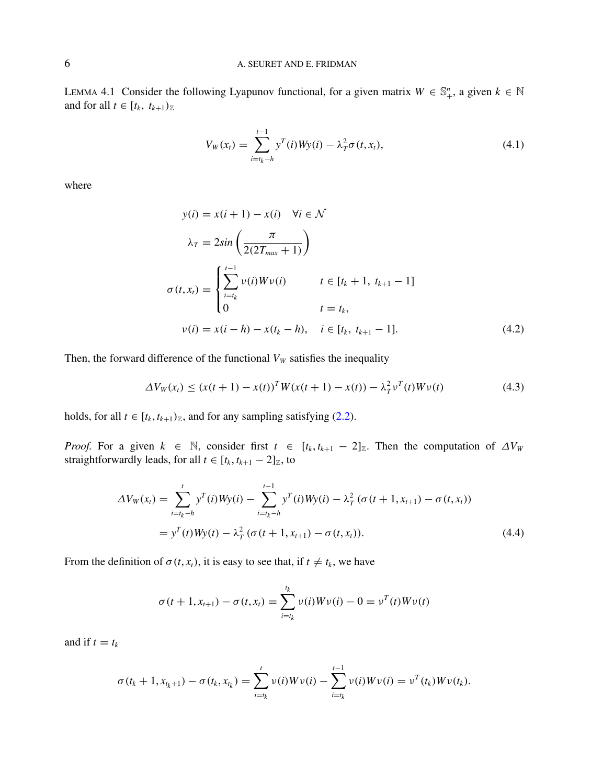<span id="page-5-0"></span>LEMMA 4.1 Consider the following Lyapunov functional, for a given matrix  $W \in \mathbb{S}^n_+$ , a given  $k \in \mathbb{N}$ and for all  $t \in [t_k, t_{k+1})_{\mathbb{Z}}$ 

$$
V_W(x_t) = \sum_{i=t_k - h}^{t-1} y^T(i) W y(i) - \lambda_T^2 \sigma(t, x_t),
$$
\n(4.1)

where

$$
y(i) = x(i + 1) - x(i) \quad \forall i \in \mathcal{N}
$$
  
\n
$$
\lambda_T = 2\sin\left(\frac{\pi}{2(2T_{max} + 1)}\right)
$$
  
\n
$$
\sigma(t, x_t) = \begin{cases} \sum_{i=t_k}^{t-1} v(i)Wv(i) & t \in [t_k + 1, t_{k+1} - 1] \\ 0 & t = t_k, \end{cases}
$$
  
\n
$$
v(i) = x(i - h) - x(t_k - h), \quad i \in [t_k, t_{k+1} - 1].
$$
\n(4.2)

Then, the forward difference of the functional  $V_W$  satisfies the inequality

$$
\Delta V_W(x_t) \le (x(t+1) - x(t))^T W(x(t+1) - x(t)) - \lambda_T^2 v^T(t) W v(t)
$$
\n(4.3)

holds, for all  $t \in [t_k, t_{k+1})_{\mathbb{Z}}$ , and for any sampling satisfying [\(2.2\)](#page-2-0).

*Proof.* For a given  $k \in \mathbb{N}$ , consider first  $t \in [t_k, t_{k+1} - 2]_{\mathbb{Z}}$ . Then the computation of  $\Delta V_W$ straightforwardly leads, for all  $t \in [t_k, t_{k+1} - 2]_{\mathbb{Z}}$ , to

$$
\Delta V_W(x_t) = \sum_{i=t_k-h}^{t} y^T(i)Wy(i) - \sum_{i=t_k-h}^{t-1} y^T(i)Wy(i) - \lambda_T^2 (\sigma(t+1, x_{t+1}) - \sigma(t, x_t))
$$
  
=  $y^T(t)Wy(t) - \lambda_T^2 (\sigma(t+1, x_{t+1}) - \sigma(t, x_t)).$  (4.4)

From the definition of  $\sigma(t, x_t)$ , it is easy to see that, if  $t \neq t_k$ , we have

$$
\sigma(t + 1, x_{t+1}) - \sigma(t, x_t) = \sum_{i=t_k}^{t_k} \nu(i) W \nu(i) - 0 = \nu^{T}(t) W \nu(t)
$$

and if  $t = t_k$ 

$$
\sigma(t_k+1,x_{t_k+1})-\sigma(t_k,x_{t_k})=\sum_{i=t_k}^t\nu(i)W\nu(i)-\sum_{i=t_k}^{t-1}\nu(i)W\nu(i)=\nu^T(t_k)W\nu(t_k).
$$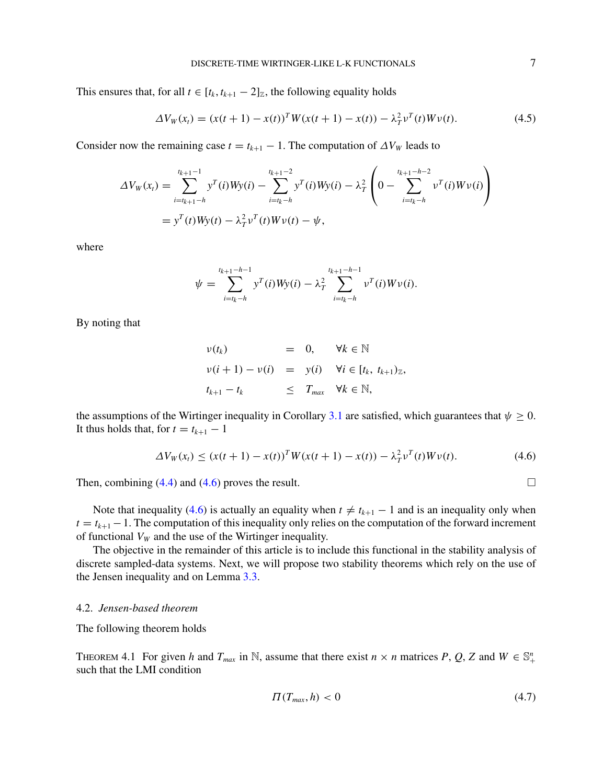<span id="page-6-0"></span>This ensures that, for all  $t \in [t_k, t_{k+1} - 2]_{\mathbb{Z}}$ , the following equality holds

$$
\Delta V_W(x_t) = (x(t+1) - x(t))^T W(x(t+1) - x(t)) - \lambda_T^2 v^T(t) W v(t).
$$
\n(4.5)

Consider now the remaining case  $t = t_{k+1} - 1$ . The computation of  $\Delta V_W$  leads to

$$
\Delta V_W(x_t) = \sum_{i=t_{k+1}-h}^{t_{k+1}-1} y^T(i)Wy(i) - \sum_{i=t_k-h}^{t_{k+1}-2} y^T(i)Wy(i) - \lambda_T^2 \left(0 - \sum_{i=t_k-h}^{t_{k+1}-h-2} v^T(i)Wv(i)\right)
$$
  
=  $y^T(t)Wy(t) - \lambda_T^2 v^T(t)Wv(t) - \psi$ ,

where

$$
\psi = \sum_{i=t_k-h}^{t_{k+1}-h-1} y^T(i)Wy(i) - \lambda_T^2 \sum_{i=t_k-h}^{t_{k+1}-h-1} v^T(i)Wv(i).
$$

By noting that

$$
\nu(t_k) = 0, \quad \forall k \in \mathbb{N}
$$
  

$$
\nu(i+1) - \nu(i) = y(i) \quad \forall i \in [t_k, t_{k+1})_{\mathbb{Z}},
$$
  

$$
t_{k+1} - t_k \leq T_{max} \quad \forall k \in \mathbb{N},
$$

the assumptions of the Wirtinger inequality in Corollary [3.1](#page-3-0) are satisfied, which guarantees that  $\psi \geq 0$ . It thus holds that, for  $t = t_{k+1} - 1$ 

$$
\Delta V_W(x_t) \le (x(t+1) - x(t))^T W(x(t+1) - x(t)) - \lambda_T^2 v^T(t) W v(t).
$$
\n(4.6)

Then, combining  $(4.4)$  and  $(4.6)$  proves the result.  $\Box$ 

Note that inequality (4.6) is actually an equality when  $t \neq t_{k+1} - 1$  and is an inequality only when  $t = t_{k+1} - 1$ . The computation of this inequality only relies on the computation of the forward increment of functional  $V_W$  and the use of the Wirtinger inequality.

The objective in the remainder of this article is to include this functional in the stability analysis of discrete sampled-data systems. Next, we will propose two stability theorems which rely on the use of the Jensen inequality and on Lemma [3.3.](#page-4-0)

## 4.2. *Jensen-based theorem*

The following theorem holds

THEOREM 4.1 For given *h* and  $T_{max}$  in N, assume that there exist  $n \times n$  matrices  $P$ ,  $Q$ ,  $Z$  and  $W \in \mathbb{S}_+^n$ such that the LMI condition

$$
\Pi(T_{max}, h) < 0 \tag{4.7}
$$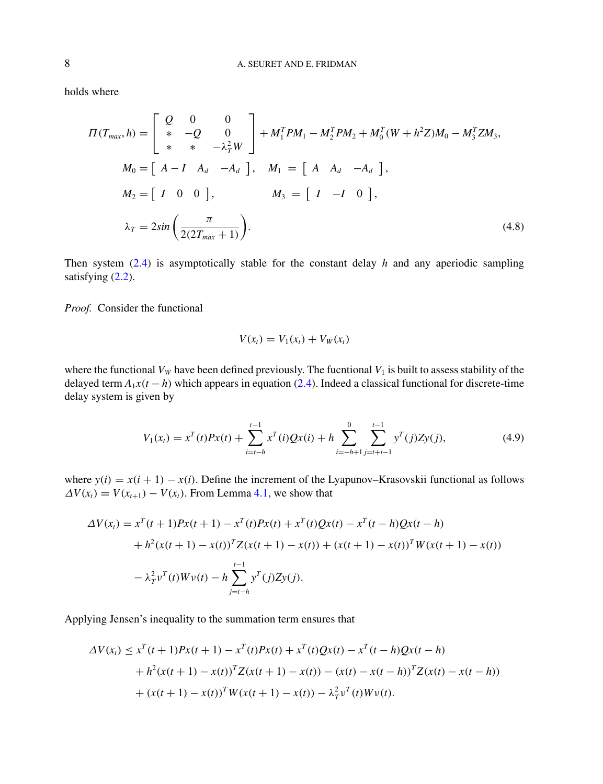holds where

$$
\Pi(T_{max}, h) = \begin{bmatrix} Q & 0 & 0 \\ * & -Q & 0 \\ * & * & -\lambda_T^2 W \end{bmatrix} + M_1^T P M_1 - M_2^T P M_2 + M_0^T (W + h^2 Z) M_0 - M_3^T Z M_3,
$$
  
\n
$$
M_0 = \begin{bmatrix} A - I & A_d & -A_d \end{bmatrix}, \quad M_1 = \begin{bmatrix} A & A_d & -A_d \end{bmatrix},
$$
  
\n
$$
M_2 = \begin{bmatrix} I & 0 & 0 \end{bmatrix}, \quad M_3 = \begin{bmatrix} I & -I & 0 \end{bmatrix},
$$
  
\n
$$
\lambda_T = 2 \sin \left( \frac{\pi}{2(2T_{max} + 1)} \right).
$$
\n(4.8)

Then system [\(2.4\)](#page-2-0) is asymptotically stable for the constant delay *h* and any aperiodic sampling satisfying  $(2.2)$ .

*Proof.* Consider the functional

$$
V(x_t) = V_1(x_t) + V_W(x_t)
$$

where the functional  $V_W$  have been defined previously. The fucntional  $V_1$  is built to assess stability of the delayed term  $A_1x(t-h)$  which appears in equation [\(2.4\)](#page-2-0). Indeed a classical functional for discrete-time delay system is given by

$$
V_1(x_t) = x^T(t)Px(t) + \sum_{i=t-h}^{t-1} x^T(i)Qx(i) + h \sum_{i=-h+1}^{0} \sum_{j=t+i-1}^{t-1} y^T(j)Zy(j),
$$
\n(4.9)

where  $y(i) = x(i + 1) - x(i)$ . Define the increment of the Lyapunov–Krasovskii functional as follows  $\Delta V(x_t) = V(x_{t+1}) - V(x_t)$ . From Lemma [4.1,](#page-5-0) we show that

$$
\Delta V(x_t) = x^T(t+1)Px(t+1) - x^T(t)Px(t) + x^T(t)Qx(t) - x^T(t-h)Qx(t-h) \n+ h^2(x(t+1) - x(t))^T Z(x(t+1) - x(t)) + (x(t+1) - x(t))^T W(x(t+1) - x(t)) \n- \lambda_T^2 v^T(t)Wv(t) - h \sum_{j=t-h}^{t-1} y^T(j)Zy(j).
$$

Applying Jensen's inequality to the summation term ensures that

$$
\Delta V(x_t) \le x^T (t+1) P x(t+1) - x^T (t) P x(t) + x^T (t) Q x(t) - x^T (t-h) Q x(t-h) + h^2 (x(t+1) - x(t))^T Z (x(t+1) - x(t)) - (x(t) - x(t-h))^T Z (x(t) - x(t-h)) + (x(t+1) - x(t))^T W (x(t+1) - x(t)) - \lambda_T^2 v^T (t) W v(t).
$$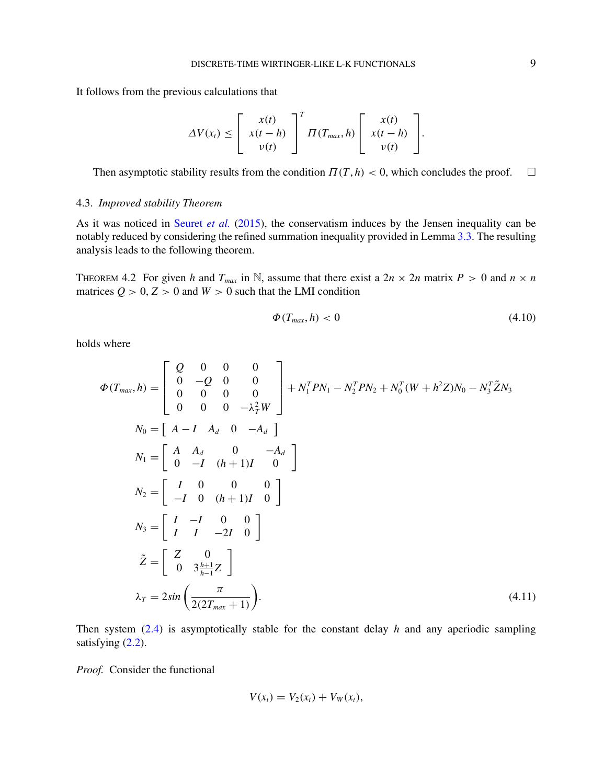<span id="page-8-0"></span>It follows from the previous calculations that

$$
\Delta V(x_t) \leq \left[ \begin{array}{c} x(t) \\ x(t-h) \\ v(t) \end{array} \right]^T \Pi(T_{max}, h) \left[ \begin{array}{c} x(t) \\ x(t-h) \\ v(t) \end{array} \right].
$$

Then asymptotic stability results from the condition  $\Pi(T, h) < 0$ , which concludes the proof.  $\Box$ 

## 4.3. *Improved stability Theorem*

As it was noticed in [Seuret](#page-15-0) *et al.* [\(2015\)](#page-15-0), the conservatism induces by the Jensen inequality can be notably reduced by considering the refined summation inequality provided in Lemma [3.3.](#page-4-0) The resulting analysis leads to the following theorem.

THEOREM 4.2 For given *h* and  $T_{max}$  in N, assume that there exist a  $2n \times 2n$  matrix  $P > 0$  and  $n \times n$ matrices  $Q > 0$ ,  $Z > 0$  and  $W > 0$  such that the LMI condition

$$
\Phi(T_{\text{max}}, h) < 0 \tag{4.10}
$$

holds where

$$
\Phi(T_{max}, h) = \begin{bmatrix} Q & 0 & 0 & 0 \\ 0 & -Q & 0 & 0 \\ 0 & 0 & 0 & 0 \\ 0 & 0 & 0 & -\lambda_T^2 W \end{bmatrix} + N_1^T P N_1 - N_2^T P N_2 + N_0^T (W + h^2 Z) N_0 - N_3^T \tilde{Z} N_3
$$
  
\n
$$
N_0 = \begin{bmatrix} A & A_d & 0 & -A_d \\ 0 & -I & (h+1)I & 0 \end{bmatrix}
$$
  
\n
$$
N_2 = \begin{bmatrix} I & 0 & 0 & 0 \\ -I & 0 & (h+1)I & 0 \end{bmatrix}
$$
  
\n
$$
N_3 = \begin{bmatrix} I & -I & 0 & 0 \\ I & I & -2I & 0 \end{bmatrix}
$$
  
\n
$$
\tilde{Z} = \begin{bmatrix} Z & 0 \\ 0 & 3\frac{h+1}{h-1}Z \end{bmatrix}
$$
  
\n
$$
\lambda_T = 2\sin\left(\frac{\pi}{2(2T_{max} + 1)}\right).
$$
 (4.11)

Then system [\(2.4\)](#page-2-0) is asymptotically stable for the constant delay *h* and any aperiodic sampling satisfying  $(2.2)$ .

*Proof.* Consider the functional

$$
V(x_t) = V_2(x_t) + V_W(x_t),
$$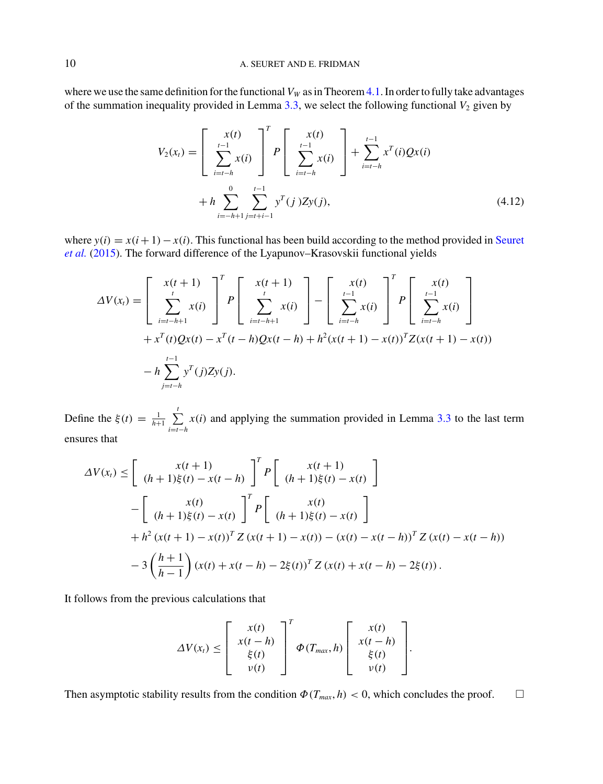where we use the same definition for the functional  $V_W$  as in Theorem [4.1.](#page-6-0) In order to fully take advantages of the summation inequality provided in Lemma  $3.3$ , we select the following functional  $V_2$  given by

$$
V_2(x_t) = \left[ \sum_{i=t-h}^{x(t)} x(i) \right]^T P \left[ \sum_{i=t-h}^{t-1} x(i) \right] + \sum_{i=t-h}^{t-1} x^T(i) Qx(i)
$$
  
+  $h \sum_{i=-h+1}^{0} \sum_{j=t+1}^{t-1} y^T(j) Zy(j),$  (4.12)

where  $y(i) = x(i+1) - x(i)$ [.](#page-15-0) [This](#page-15-0) [functional](#page-15-0) [has](#page-15-0) [been](#page-15-0) [build](#page-15-0) [according](#page-15-0) [to](#page-15-0) [the](#page-15-0) [method](#page-15-0) [provided](#page-15-0) [in](#page-15-0) Seuret *et al.* [\(2015\)](#page-15-0). The forward difference of the Lyapunov–Krasovskii functional yields

$$
\Delta V(x_t) = \left[ \sum_{i=t-h+1}^{x(t+1)} x(i) \right]^T P \left[ \sum_{i=t-h+1}^{x(t+1)} x(i) \right] - \left[ \sum_{i=t-h}^{x(t)} x(i) \right]^T P \left[ \sum_{i=t-h}^{t-1} x(i) \right] + x^T(t)Qx(t) - x^T(t-h)Qx(t-h) + h^2(x(t+1) - x(t))^T Z(x(t+1) - x(t))
$$

$$
- h \sum_{j=t-h}^{t-1} y^T(j)Zy(j).
$$

Define the  $\xi(t) = \frac{1}{h+1} \sum_{i=t-h}^{t} x(i)$  and applying the summation provided in Lemma [3.3](#page-4-0) to the last term ensures that

$$
\Delta V(x_t) \leq \left[ \begin{array}{c} x(t+1) \\ (h+1)\xi(t) - x(t-h) \end{array} \right]^T P \left[ \begin{array}{c} x(t+1) \\ (h+1)\xi(t) - x(t) \end{array} \right]
$$
  

$$
- \left[ \begin{array}{c} x(t) \\ (h+1)\xi(t) - x(t) \end{array} \right]^T P \left[ \begin{array}{c} x(t) \\ (h+1)\xi(t) - x(t) \end{array} \right]
$$
  

$$
+ h^2 (x(t+1) - x(t))^T Z (x(t+1) - x(t)) - (x(t) - x(t-h))^T Z (x(t) - x(t-h))
$$
  

$$
- 3 \left( \frac{h+1}{h-1} \right) (x(t) + x(t-h) - 2\xi(t))^T Z (x(t) + x(t-h) - 2\xi(t)).
$$

It follows from the previous calculations that

$$
\Delta V(x_t) \leq \left[\begin{array}{c} x(t) \\ x(t-h) \\ \xi(t) \\ v(t) \end{array}\right]^T \Phi(T_{max}, h) \left[\begin{array}{c} x(t) \\ x(t-h) \\ \xi(t) \\ v(t) \end{array}\right].
$$

Then asymptotic stability results from the condition  $\Phi(T_{max}, h) < 0$ , which concludes the proof.  $\Box$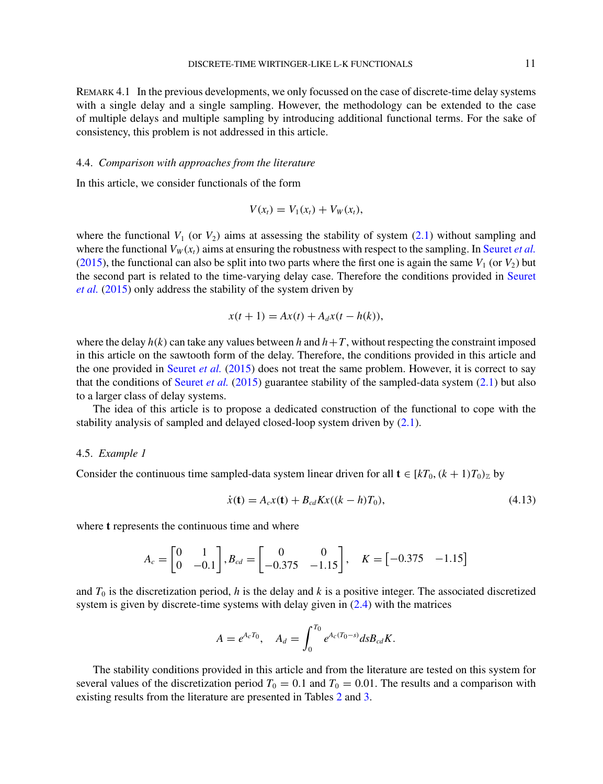<span id="page-10-0"></span>Remark 4.1 In the previous developments, we only focussed on the case of discrete-time delay systems with a single delay and a single sampling. However, the methodology can be extended to the case of multiple delays and multiple sampling by introducing additional functional terms. For the sake of consistency, this problem is not addressed in this article.

## 4.4. *Comparison with approaches from the literature*

In this article, we consider functionals of the form

$$
V(x_t) = V_1(x_t) + V_W(x_t),
$$

where the functional  $V_1$  (or  $V_2$ ) aims at assessing the stability of system [\(2.1\)](#page-1-0) without sampling and where the functional  $V_W(x_t)$  aims at ensuring the robustness with respect to the sampling. In [Seuret](#page-15-0) *et al.* [\(2015\)](#page-15-0), the functional can also be split into two parts where the first one is again the same  $V_1$  (or  $V_2$ ) but the s[econd](#page-15-0) [part](#page-15-0) [is](#page-15-0) [related](#page-15-0) [to](#page-15-0) [the](#page-15-0) [time-varying](#page-15-0) [delay](#page-15-0) [case.](#page-15-0) [Therefore](#page-15-0) [the](#page-15-0) [conditions](#page-15-0) [provided](#page-15-0) [in](#page-15-0) Seuret *et al.* [\(2015](#page-15-0)) only address the stability of the system driven by

$$
x(t+1) = Ax(t) + A_d x(t - h(k)),
$$

where the delay  $h(k)$  can take any values between h and  $h+T$ , without respecting the constraint imposed in this article on the sawtooth form of the delay. Therefore, the conditions provided in this article and the one provided in [Seuret](#page-15-0) *et al.* [\(2015](#page-15-0)) does not treat the same problem. However, it is correct to say that the conditions of [Seuret](#page-15-0) *et al.* [\(2015](#page-15-0)) guarantee stability of the sampled-data system  $(2.1)$  but also to a larger class of delay systems.

The idea of this article is to propose a dedicated construction of the functional to cope with the stability analysis of sampled and delayed closed-loop system driven by  $(2.1)$ .

#### 4.5. *Example 1*

Consider the continuous time sampled-data system linear driven for all  $\mathbf{t} \in [kT_0, (k+1)T_0)_\mathbb{Z}$  by

$$
\dot{x}(\mathbf{t}) = A_c x(\mathbf{t}) + B_{cd} K x((k - h)T_0),
$$
\n(4.13)

where **t** represents the continuous time and where

$$
A_c = \begin{bmatrix} 0 & 1 \\ 0 & -0.1 \end{bmatrix}, B_{cd} = \begin{bmatrix} 0 & 0 \\ -0.375 & -1.15 \end{bmatrix}, \quad K = \begin{bmatrix} -0.375 & -1.15 \end{bmatrix}
$$

and  $T_0$  is the discretization period,  $h$  is the delay and  $k$  is a positive integer. The associated discretized system is given by discrete-time systems with delay given in [\(2.4\)](#page-2-0) with the matrices

$$
A = e^{A_c T_0}, \quad A_d = \int_0^{T_0} e^{A_c (T_0 - s)} ds B_{cd} K.
$$

The stability conditions provided in this article and from the literature are tested on this system for several values of the discretization period  $T_0 = 0.1$  and  $T_0 = 0.01$ . The results and a comparison with existing results from the literature are presented in Tables [2](#page-11-0) and [3.](#page-11-0)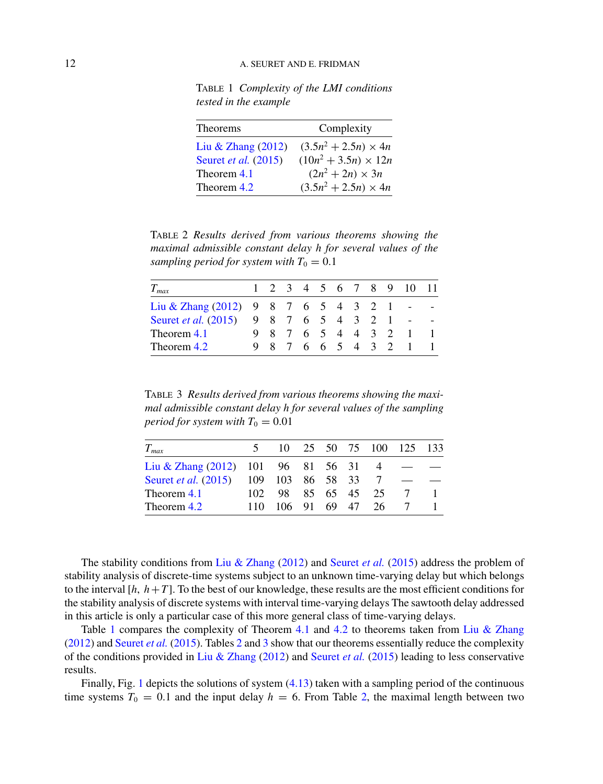<span id="page-11-0"></span>Table 1 *Complexity of the LMI conditions tested in the example*

| <b>Theorems</b>      | Complexity                  |
|----------------------|-----------------------------|
| Liu & Zhang (2012)   | $(3.5n^2 + 2.5n) \times 4n$ |
| Seuret et al. (2015) | $(10n^2 + 3.5n) \times 12n$ |
| Theorem 4.1          | $(2n^2 + 2n) \times 3n$     |
| Theorem 4.2          | $(3.5n^2 + 2.5n) \times 4n$ |

Table 2 *Results derived from various theorems showing the maximal admissible constant delay h for several values of the sampling period for system with*  $T_0 = 0.1$ 

| $T_{max}$                                |  |  |  |  |                   | 1 2 3 4 5 6 7 8 9 10 11 |  |
|------------------------------------------|--|--|--|--|-------------------|-------------------------|--|
| Liu & Zhang $(2012)$ 9 8 7 6 5 4 3 2 1 - |  |  |  |  |                   |                         |  |
| Seuret et al. (2015) 9 8 7 6 5 4 3 2 1 - |  |  |  |  |                   |                         |  |
| Theorem 4.1                              |  |  |  |  |                   | 9 8 7 6 5 4 4 3 2 1     |  |
| Theorem 4.2                              |  |  |  |  | 9 8 7 6 6 5 4 3 2 |                         |  |

Table 3 *Results derived from various theorems showing the maximal admissible constant delay h for several values of the sampling period for system with*  $T_0 = 0.01$ 

| $T_{max}$                               |     |                    |  | 10 25 50 75 100 125 133 |  |
|-----------------------------------------|-----|--------------------|--|-------------------------|--|
| Liu & Zhang $(2012)$ 101 96 81 56 31 4  |     |                    |  |                         |  |
| Seuret et al. (2015) 109 103 86 58 33 7 |     |                    |  |                         |  |
| Theorem 4.1                             |     | 102 98 85 65 45 25 |  |                         |  |
| Theorem 4.2                             | 110 | 106 91 69 47       |  | 26.                     |  |

The stability conditions from [Liu & Zhang](#page-15-0) [\(2012](#page-15-0)) and [Seuret](#page-15-0) *et al.* [\(2015\)](#page-15-0) address the problem of stability analysis of discrete-time systems subject to an unknown time-varying delay but which belongs to the interval  $[h, h+T]$ . To the best of our knowledge, these results are the most efficient conditions for the stability analysis of discrete systems with interval time-varying delays The sawtooth delay addressed in this article is only a particular case of this more general class of time-varying delays.

Table 1 compares the complexity of Theorem [4.1](#page-6-0) and [4.2](#page-8-0) to theorems taken from [Liu & Zhang](#page-15-0) [\(2012\)](#page-15-0) and [Seuret](#page-15-0) *et al.* [\(2015\)](#page-15-0). Tables 2 and 3 show that our theorems essentially reduce the complexity of the conditions provided in [Liu & Zhang](#page-15-0) [\(2012](#page-15-0)) and [Seuret](#page-15-0) *et al.* [\(2015](#page-15-0)) leading to less conservative results.

Finally, Fig. [1](#page-12-0) depicts the solutions of system [\(4.13\)](#page-10-0) taken with a sampling period of the continuous time systems  $T_0 = 0.1$  and the input delay  $h = 6$ . From Table 2, the maximal length between two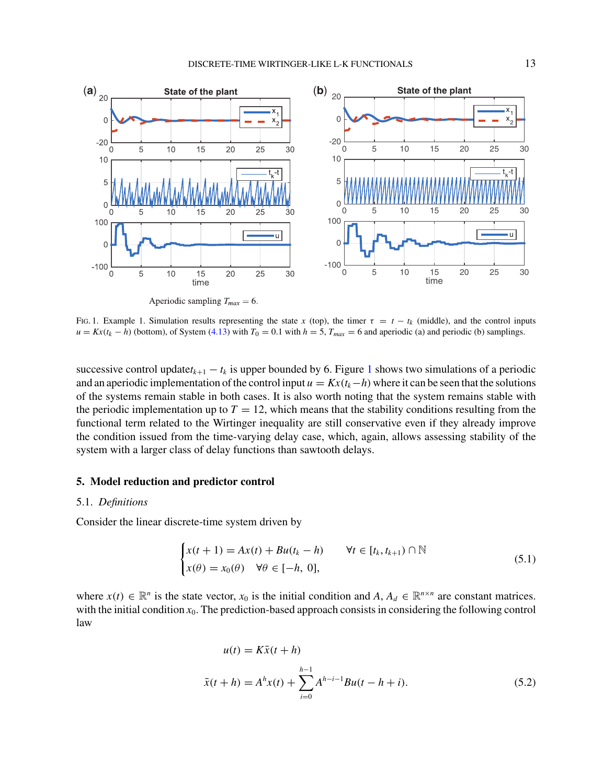<span id="page-12-0"></span>

Fig. 1. Example 1. Simulation results representing the state x (top), the timer  $\tau = t - t_k$  (middle), and the control inputs  $u = Kx(t_k - h)$  (bottom), of System [\(4.13\)](#page-10-0) with  $T_0 = 0.1$  with  $h = 5$ ,  $T_{max} = 6$  and aperiodic (a) and periodic (b) samplings.

successive control update $t_{k+1} - t_k$  is upper bounded by 6. Figure 1 shows two simulations of a periodic and an aperiodic implementation of the control input  $u = Kx(t_k-h)$  where it can be seen that the solutions of the systems remain stable in both cases. It is also worth noting that the system remains stable with the periodic implementation up to  $T = 12$ , which means that the stability conditions resulting from the functional term related to the Wirtinger inequality are still conservative even if they already improve the condition issued from the time-varying delay case, which, again, allows assessing stability of the system with a larger class of delay functions than sawtooth delays.

## **5. Model reduction and predictor control**

## 5.1. *Definitions*

Consider the linear discrete-time system driven by

$$
\begin{cases} x(t+1) = Ax(t) + Bu(t_k - h) & \forall t \in [t_k, t_{k+1}) \cap \mathbb{N} \\ x(\theta) = x_0(\theta) & \forall \theta \in [-h, 0], \end{cases}
$$
\n(5.1)

where  $x(t) \in \mathbb{R}^n$  is the state vector,  $x_0$  is the initial condition and  $A, A_d \in \mathbb{R}^{n \times n}$  are constant matrices. with the initial condition  $x_0$ . The prediction-based approach consists in considering the following control law

$$
u(t) = K\bar{x}(t+h)
$$
  

$$
\bar{x}(t+h) = A^{h}x(t) + \sum_{i=0}^{h-1} A^{h-i-1}Bu(t-h+i).
$$
 (5.2)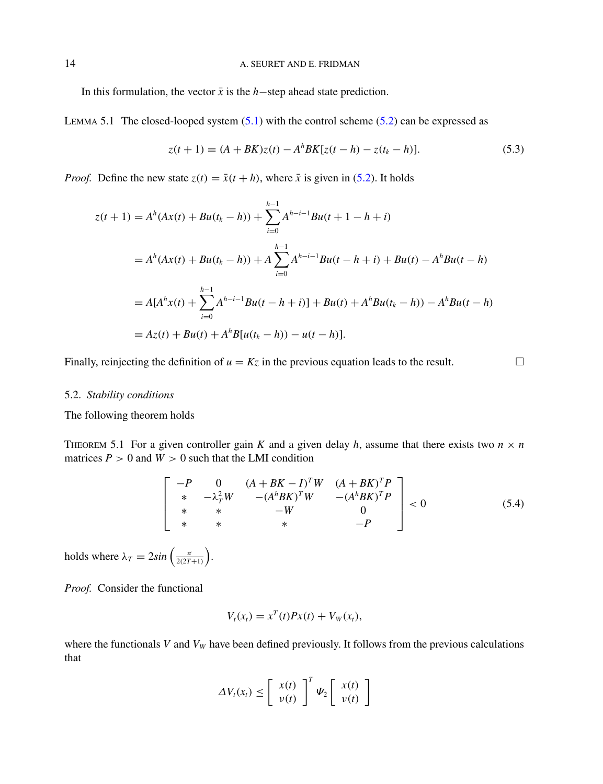<span id="page-13-0"></span>In this formulation, the vector  $\bar{x}$  is the *h*−step ahead state prediction.

LEMMA 5.1 The closed-looped system  $(5.1)$  with the control scheme  $(5.2)$  can be expressed as

$$
z(t+1) = (A + BK)z(t) - A^{h}BK[z(t-h) - z(t_{k} - h)].
$$
\n(5.3)

*Proof.* Define the new state  $z(t) = \bar{x}(t + h)$ , where  $\bar{x}$  is given in [\(5.2\)](#page-12-0). It holds

$$
z(t+1) = A^{h}(Ax(t) + Bu(t_{k} - h)) + \sum_{i=0}^{h-1} A^{h-i-1}Bu(t+1-h+i)
$$
  
=  $A^{h}(Ax(t) + Bu(t_{k} - h)) + A \sum_{i=0}^{h-1} A^{h-i-1}Bu(t-h+i) + Bu(t) - A^{h}Bu(t-h)$   
=  $A[A^{h}x(t) + \sum_{i=0}^{h-1} A^{h-i-1}Bu(t-h+i)] + Bu(t) + A^{h}Bu(t_{k} - h)) - A^{h}Bu(t-h)$   
=  $Az(t) + Bu(t) + A^{h}B[u(t_{k} - h)) - u(t - h)].$ 

Finally, reinjecting the definition of  $u = Kz$  in the previous equation leads to the result.  $\Box$ 

## 5.2. *Stability conditions*

The following theorem holds

THEOREM 5.1 For a given controller gain *K* and a given delay *h*, assume that there exists two  $n \times n$ matrices  $P > 0$  and  $W > 0$  such that the LMI condition

$$
\begin{bmatrix}\n-P & 0 & (A+BK-I)^T W & (A+BK)^T P \\
* & -\lambda_T^2 W & -(A^h B K)^T W & -(A^h B K)^T P \\
* & * & -W & 0 \\
* & * & * & -P\n\end{bmatrix} < 0
$$
\n(5.4)

holds where  $\lambda_T = 2\sin\left(\frac{\pi}{2(2T+1)}\right)$ .

*Proof.* Consider the functional

$$
V_t(x_t) = x^T(t)Px(t) + V_W(x_t),
$$

where the functionals *V* and  $V_W$  have been defined previously. It follows from the previous calculations that

$$
\Delta V_t(x_t) \leq \left[ \begin{array}{c} x(t) \\ v(t) \end{array} \right]^T \Psi_2 \left[ \begin{array}{c} x(t) \\ v(t) \end{array} \right]
$$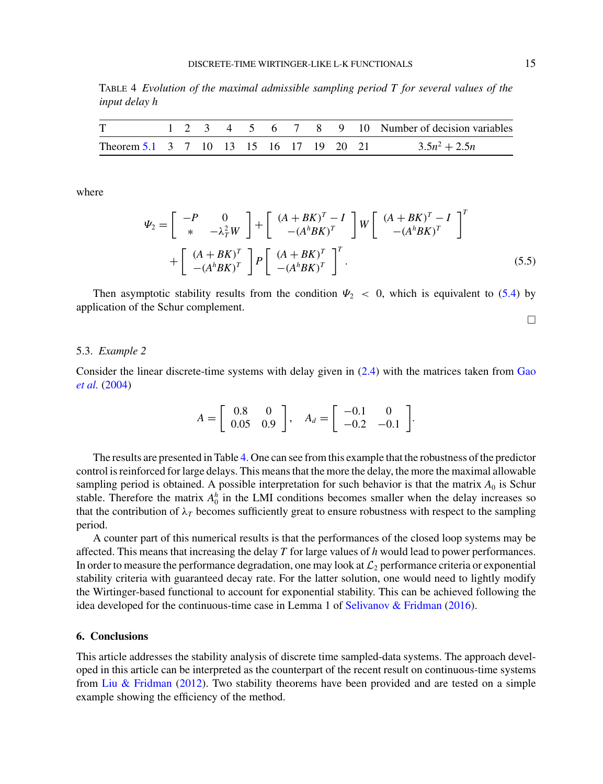Table 4 *Evolution of the maximal admissible sampling period T for several values of the input delay h*

| T                                       |  |  |  |  |  | 1 2 3 4 5 6 7 8 9 10 Number of decision variables |
|-----------------------------------------|--|--|--|--|--|---------------------------------------------------|
| Theorem 5.1 3 7 10 13 15 16 17 19 20 21 |  |  |  |  |  | $3.5n^2 + 2.5n$                                   |

where

$$
\Psi_2 = \begin{bmatrix} -P & 0 \\ * & -\lambda_T^2 W \end{bmatrix} + \begin{bmatrix} (A + BK)^T - I \\ - (A^h BK)^T \end{bmatrix} W \begin{bmatrix} (A + BK)^T - I \\ - (A^h BK)^T \end{bmatrix}^T
$$

$$
+ \begin{bmatrix} (A + BK)^T \\ - (A^h BK)^T \end{bmatrix} P \begin{bmatrix} (A + BK)^T \\ - (A^h BK)^T \end{bmatrix}^T.
$$
(5.5)

Then asymptotic stability results from the condition  $\Psi_2 < 0$ , which is equivalent to [\(5.4\)](#page-13-0) by application of the Schur complement.

## $\Box$

#### 5.3. *Example 2*

Con[sider the linear discrete-time systems with delay given in](#page-15-0) [\(2.4\)](#page-2-0) [with the matrices taken from](#page-15-0) Gao *et al.* [\(2004](#page-15-0))

$$
A = \begin{bmatrix} 0.8 & 0 \\ 0.05 & 0.9 \end{bmatrix}, A_d = \begin{bmatrix} -0.1 & 0 \\ -0.2 & -0.1 \end{bmatrix}.
$$

The results are presented in Table 4. One can see from this example that the robustness of the predictor control is reinforced for large delays. This means that the more the delay, the more the maximal allowable sampling period is obtained. A possible interpretation for such behavior is that the matrix  $A_0$  is Schur stable. Therefore the matrix  $A_0^h$  in the LMI conditions becomes smaller when the delay increases so that the contribution of  $\lambda_T$  becomes sufficiently great to ensure robustness with respect to the sampling period.

A counter part of this numerical results is that the performances of the closed loop systems may be affected. This means that increasing the delay *T* for large values of *h* would lead to power performances. In order to measure the performance degradation, one may look at  $\mathcal{L}_2$  performance criteria or exponential stability criteria with guaranteed decay rate. For the latter solution, one would need to lightly modify the Wirtinger-based functional to account for exponential stability. This can be achieved following the idea developed for the continuous-time case in Lemma 1 of [Selivanov & Fridman](#page-15-0) [\(2016](#page-15-0)).

## **6. Conclusions**

This article addresses the stability analysis of discrete time sampled-data systems. The approach developed in this article can be interpreted as the counterpart of the recent result on continuous-time systems from [Liu & Fridman](#page-15-0) [\(2012\)](#page-15-0). Two stability theorems have been provided and are tested on a simple example showing the efficiency of the method.